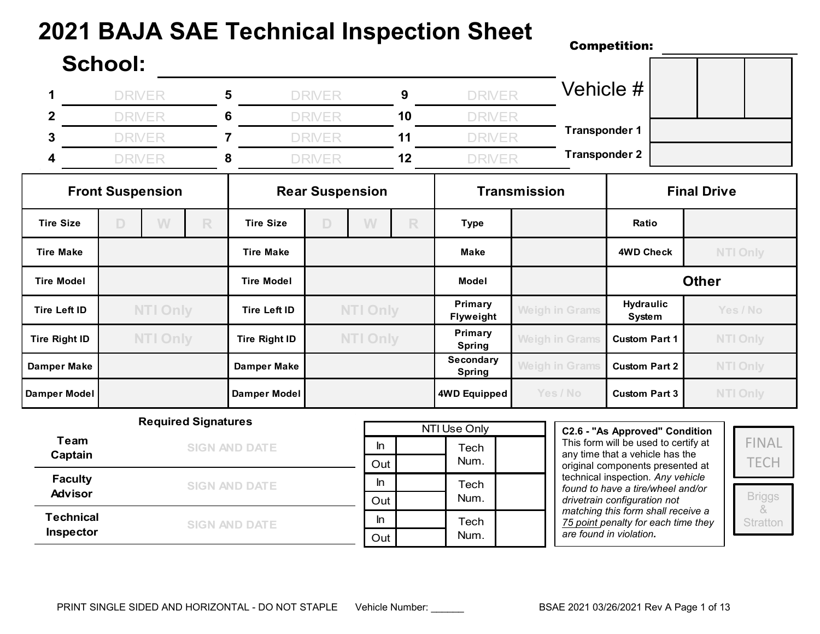## **2021 BAJA SAE Technical Inspection Sheet**

## Competition: **School: 1** DRIVER **5** DRIVER **9** DRIVER **2** DRIVER **6** DRIVER **10** DRIVER **3** DRIVER **7** DRIVER **11** DRIVER **4** DRIVER **8** DRIVER **12** DRIVER Vehicle # **Transponder 1 Transponder 2**

|                      |                 | <b>Front Suspension</b> |              |                      |                 | <b>Rear Suspension</b> |                      |                            | <b>Transmission</b>   | <b>Final Drive</b>                      |                 |  |
|----------------------|-----------------|-------------------------|--------------|----------------------|-----------------|------------------------|----------------------|----------------------------|-----------------------|-----------------------------------------|-----------------|--|
| <b>Tire Size</b>     | D               | W                       | R            | <b>Tire Size</b>     | $\Box$          | W                      | R                    | <b>Type</b>                |                       | Ratio                                   |                 |  |
| <b>Tire Make</b>     |                 |                         |              | <b>Tire Make</b>     |                 |                        |                      | <b>Make</b>                |                       | <b>4WD Check</b>                        | <b>NTI Only</b> |  |
| <b>Tire Model</b>    |                 |                         |              | <b>Tire Model</b>    |                 |                        |                      | Model                      |                       | <b>Other</b>                            |                 |  |
| Tire Left ID         | <b>NTI Only</b> |                         | Tire Left ID |                      | <b>NTI Only</b> |                        | Primary<br>Flyweight | <b>Weigh in Grams</b>      | Hydraulic<br>System   | Yes / No                                |                 |  |
| <b>Tire Right ID</b> |                 | <b>NTI Only</b>         |              | <b>Tire Right ID</b> | <b>NTI Only</b> |                        |                      | Primary<br>Spring          | <b>Weigh in Grams</b> | <b>NTI Only</b><br><b>Custom Part 1</b> |                 |  |
| Damper Make          |                 |                         |              | <b>Damper Make</b>   |                 |                        |                      | Secondary<br><b>Spring</b> | <b>Weigh in Grams</b> | <b>Custom Part 2</b>                    | <b>NTI Only</b> |  |
| Damper Model         |                 |                         |              | Damper Model         |                 |                        |                      | 4WD Equipped               | Yes / No              | <b>Custom Part 3</b>                    | <b>NTI Only</b> |  |

|                  | <b>Required Signatures</b> |     | NTI Use Only |  |  |  |  |  |  |
|------------------|----------------------------|-----|--------------|--|--|--|--|--|--|
| Team             | <b>SIGN AND DATE</b>       | In  | Tech         |  |  |  |  |  |  |
| Captain          |                            | Out | Num.         |  |  |  |  |  |  |
| <b>Faculty</b>   | <b>SIGN AND DATE</b>       | In  | Tech         |  |  |  |  |  |  |
| <b>Advisor</b>   |                            | Out | Num.         |  |  |  |  |  |  |
| <b>Technical</b> | <b>SIGN AND DATE</b>       | In  | Tech         |  |  |  |  |  |  |
| Inspector        |                            | Out | Num.         |  |  |  |  |  |  |

**C2.6 - "As Approved" Condition** This form will be used to certify at any time that a vehicle has the original components presented at technical inspection*. Any vehicle found to have a tire/wheel and/or drivetrain configuration not matching this form shall receive a 75 point penalty for each time they are found in violation.*

FINAL **TECH** 

Briggs & **Stratton**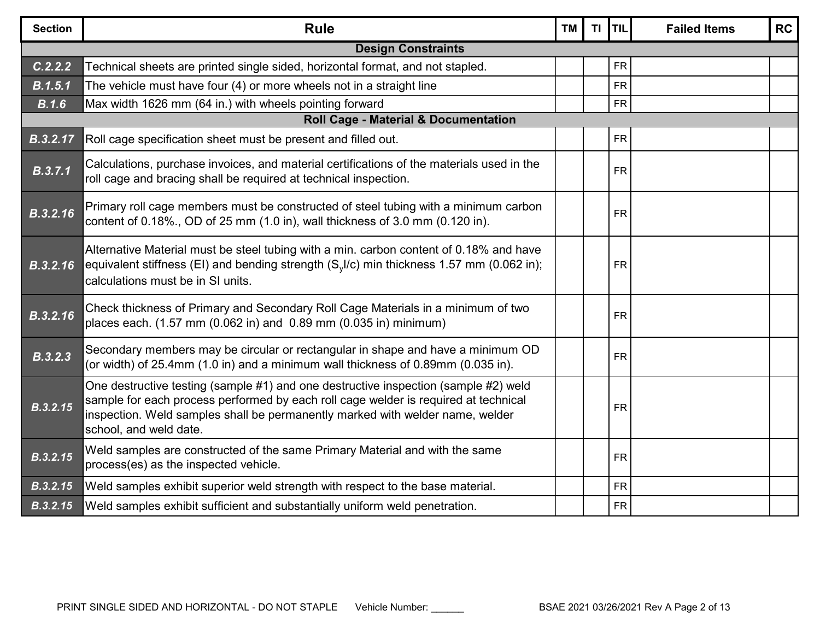| <b>Section</b> | <b>Rule</b>                                                                                                                                                                                                                                                                           | <b>TM</b> | <b>TI</b> | <b>TIL</b> | <b>Failed Items</b> | <b>RC</b> |
|----------------|---------------------------------------------------------------------------------------------------------------------------------------------------------------------------------------------------------------------------------------------------------------------------------------|-----------|-----------|------------|---------------------|-----------|
|                | <b>Design Constraints</b>                                                                                                                                                                                                                                                             |           |           |            |                     |           |
| C.2.2.2        | Technical sheets are printed single sided, horizontal format, and not stapled.                                                                                                                                                                                                        |           |           | <b>FR</b>  |                     |           |
| B.1.5.1        | The vehicle must have four (4) or more wheels not in a straight line                                                                                                                                                                                                                  |           |           | <b>FR</b>  |                     |           |
| B.1.6          | Max width 1626 mm (64 in.) with wheels pointing forward                                                                                                                                                                                                                               |           |           | <b>FR</b>  |                     |           |
|                | Roll Cage - Material & Documentation                                                                                                                                                                                                                                                  |           |           |            |                     |           |
| B.3.2.17       | Roll cage specification sheet must be present and filled out.                                                                                                                                                                                                                         |           |           | <b>FR</b>  |                     |           |
| B.3.7.1        | Calculations, purchase invoices, and material certifications of the materials used in the<br>roll cage and bracing shall be required at technical inspection.                                                                                                                         |           |           | <b>FR</b>  |                     |           |
| B.3.2.16       | Primary roll cage members must be constructed of steel tubing with a minimum carbon<br>content of 0.18%., OD of 25 mm (1.0 in), wall thickness of 3.0 mm (0.120 in).                                                                                                                  |           |           | <b>FR</b>  |                     |           |
| B.3.2.16       | Alternative Material must be steel tubing with a min. carbon content of 0.18% and have<br>equivalent stiffness (EI) and bending strength (S <sub>v</sub> I/c) min thickness 1.57 mm (0.062 in);<br>calculations must be in SI units.                                                  |           |           | <b>FR</b>  |                     |           |
| B.3.2.16       | Check thickness of Primary and Secondary Roll Cage Materials in a minimum of two<br>places each. (1.57 mm (0.062 in) and 0.89 mm (0.035 in) minimum)                                                                                                                                  |           |           | <b>FR</b>  |                     |           |
| B.3.2.3        | Secondary members may be circular or rectangular in shape and have a minimum OD<br>(or width) of 25.4mm (1.0 in) and a minimum wall thickness of 0.89mm (0.035 in).                                                                                                                   |           |           | <b>FR</b>  |                     |           |
| B.3.2.15       | One destructive testing (sample #1) and one destructive inspection (sample #2) weld<br>sample for each process performed by each roll cage welder is required at technical<br>inspection. Weld samples shall be permanently marked with welder name, welder<br>school, and weld date. |           |           | <b>FR</b>  |                     |           |
| B.3.2.15       | Weld samples are constructed of the same Primary Material and with the same<br>process(es) as the inspected vehicle.                                                                                                                                                                  |           |           | <b>FR</b>  |                     |           |
| B.3.2.15       | Weld samples exhibit superior weld strength with respect to the base material.                                                                                                                                                                                                        |           |           | <b>FR</b>  |                     |           |
| B.3.2.15       | Weld samples exhibit sufficient and substantially uniform weld penetration.                                                                                                                                                                                                           |           |           | <b>FR</b>  |                     |           |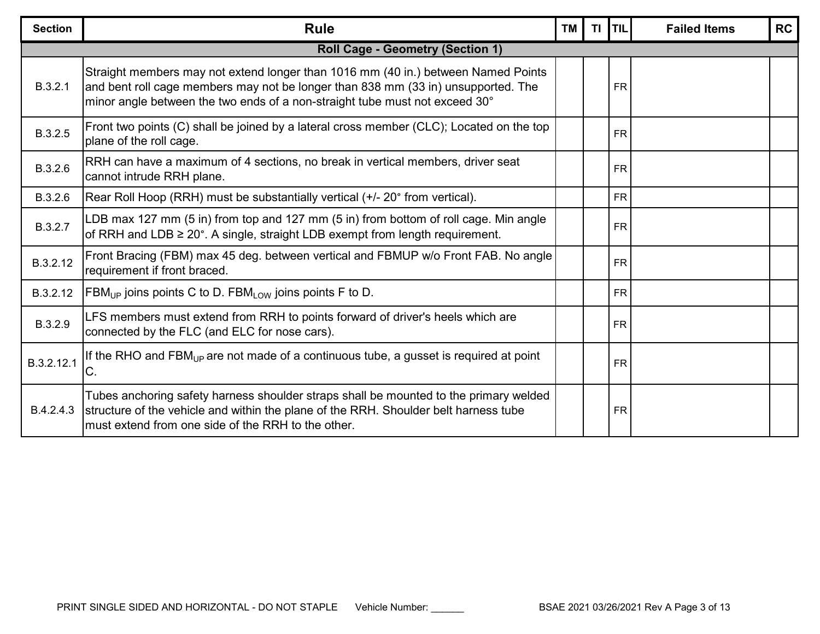| <b>Section</b> | <b>Rule</b>                                                                                                                                                                                                                                           | <b>TM</b> | TI. | <b>TIL</b> | <b>Failed Items</b> | <b>RC</b> |  |  |  |  |  |
|----------------|-------------------------------------------------------------------------------------------------------------------------------------------------------------------------------------------------------------------------------------------------------|-----------|-----|------------|---------------------|-----------|--|--|--|--|--|
|                | <b>Roll Cage - Geometry (Section 1)</b>                                                                                                                                                                                                               |           |     |            |                     |           |  |  |  |  |  |
| B.3.2.1        | Straight members may not extend longer than 1016 mm (40 in.) between Named Points<br>and bent roll cage members may not be longer than 838 mm (33 in) unsupported. The<br>minor angle between the two ends of a non-straight tube must not exceed 30° |           |     | <b>FR</b>  |                     |           |  |  |  |  |  |
| B.3.2.5        | Front two points (C) shall be joined by a lateral cross member (CLC); Located on the top<br>plane of the roll cage.                                                                                                                                   |           |     | <b>FR</b>  |                     |           |  |  |  |  |  |
| B.3.2.6        | RRH can have a maximum of 4 sections, no break in vertical members, driver seat<br>cannot intrude RRH plane.                                                                                                                                          |           |     | <b>FR</b>  |                     |           |  |  |  |  |  |
| B.3.2.6        | Rear Roll Hoop (RRH) must be substantially vertical (+/- 20° from vertical).                                                                                                                                                                          |           |     | <b>FR</b>  |                     |           |  |  |  |  |  |
| B.3.2.7        | LDB max 127 mm (5 in) from top and 127 mm (5 in) from bottom of roll cage. Min angle<br>of RRH and LDB ≥ 20°. A single, straight LDB exempt from length requirement.                                                                                  |           |     | <b>FR</b>  |                     |           |  |  |  |  |  |
| B.3.2.12       | Front Bracing (FBM) max 45 deg. between vertical and FBMUP w/o Front FAB. No angle<br>requirement if front braced.                                                                                                                                    |           |     | <b>FR</b>  |                     |           |  |  |  |  |  |
| B.3.2.12       | $\overline{ABM_{UP}}$ joins points C to D. FBM <sub>LOW</sub> joins points F to D.                                                                                                                                                                    |           |     | <b>FR</b>  |                     |           |  |  |  |  |  |
| B.3.2.9        | LFS members must extend from RRH to points forward of driver's heels which are<br>connected by the FLC (and ELC for nose cars).                                                                                                                       |           |     | <b>FR</b>  |                     |           |  |  |  |  |  |
| B.3.2.12.1     | If the RHO and FBM <sub>UP</sub> are not made of a continuous tube, a gusset is required at point<br>C.                                                                                                                                               |           |     | <b>FR</b>  |                     |           |  |  |  |  |  |
| B.4.2.4.3      | Tubes anchoring safety harness shoulder straps shall be mounted to the primary welded<br>structure of the vehicle and within the plane of the RRH. Shoulder belt harness tube<br>must extend from one side of the RRH to the other.                   |           |     | <b>FR</b>  |                     |           |  |  |  |  |  |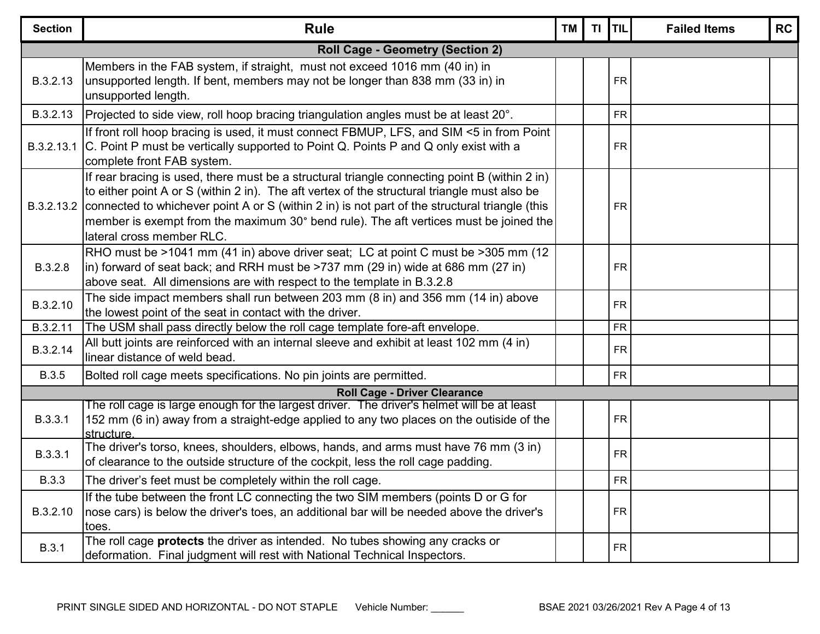| <b>Section</b> | <b>Rule</b>                                                                                                                                                                                                                                                                                                                                                                                                                      | <b>TM</b> | TI. | <b>TIL</b> | <b>Failed Items</b> | <b>RC</b> |  |  |  |  |  |
|----------------|----------------------------------------------------------------------------------------------------------------------------------------------------------------------------------------------------------------------------------------------------------------------------------------------------------------------------------------------------------------------------------------------------------------------------------|-----------|-----|------------|---------------------|-----------|--|--|--|--|--|
|                | <b>Roll Cage - Geometry (Section 2)</b>                                                                                                                                                                                                                                                                                                                                                                                          |           |     |            |                     |           |  |  |  |  |  |
| B.3.2.13       | Members in the FAB system, if straight, must not exceed 1016 mm (40 in) in<br>unsupported length. If bent, members may not be longer than 838 mm (33 in) in<br>unsupported length.                                                                                                                                                                                                                                               |           |     | <b>FR</b>  |                     |           |  |  |  |  |  |
| B.3.2.13       | Projected to side view, roll hoop bracing triangulation angles must be at least 20°.                                                                                                                                                                                                                                                                                                                                             |           |     | <b>FR</b>  |                     |           |  |  |  |  |  |
| B.3.2.13.1     | If front roll hoop bracing is used, it must connect FBMUP, LFS, and SIM <5 in from Point<br>C. Point P must be vertically supported to Point Q. Points P and Q only exist with a<br>complete front FAB system.                                                                                                                                                                                                                   |           |     | <b>FR</b>  |                     |           |  |  |  |  |  |
|                | If rear bracing is used, there must be a structural triangle connecting point B (within 2 in)<br>to either point A or S (within 2 in). The aft vertex of the structural triangle must also be<br>B.3.2.13.2 connected to whichever point A or S (within 2 in) is not part of the structural triangle (this<br>member is exempt from the maximum 30° bend rule). The aft vertices must be joined the<br>lateral cross member RLC. |           |     | <b>FR</b>  |                     |           |  |  |  |  |  |
| B.3.2.8        | RHO must be >1041 mm (41 in) above driver seat; LC at point C must be >305 mm (12<br>in) forward of seat back; and RRH must be >737 mm (29 in) wide at 686 mm (27 in)<br>above seat. All dimensions are with respect to the template in B.3.2.8                                                                                                                                                                                  |           |     | <b>FR</b>  |                     |           |  |  |  |  |  |
| B.3.2.10       | The side impact members shall run between 203 mm (8 in) and 356 mm (14 in) above<br>the lowest point of the seat in contact with the driver.                                                                                                                                                                                                                                                                                     |           |     | <b>FR</b>  |                     |           |  |  |  |  |  |
| B.3.2.11       | The USM shall pass directly below the roll cage template fore-aft envelope.                                                                                                                                                                                                                                                                                                                                                      |           |     | <b>FR</b>  |                     |           |  |  |  |  |  |
| B.3.2.14       | All butt joints are reinforced with an internal sleeve and exhibit at least 102 mm (4 in)<br>linear distance of weld bead.                                                                                                                                                                                                                                                                                                       |           |     | <b>FR</b>  |                     |           |  |  |  |  |  |
| <b>B.3.5</b>   | Bolted roll cage meets specifications. No pin joints are permitted.                                                                                                                                                                                                                                                                                                                                                              |           |     | <b>FR</b>  |                     |           |  |  |  |  |  |
|                | <b>Roll Cage - Driver Clearance</b>                                                                                                                                                                                                                                                                                                                                                                                              |           |     |            |                     |           |  |  |  |  |  |
| B.3.3.1        | The roll cage is large enough for the largest driver. The driver's helmet will be at least<br>152 mm (6 in) away from a straight-edge applied to any two places on the outiside of the<br>structure.                                                                                                                                                                                                                             |           |     | <b>FR</b>  |                     |           |  |  |  |  |  |
| B.3.3.1        | The driver's torso, knees, shoulders, elbows, hands, and arms must have 76 mm (3 in)<br>of clearance to the outside structure of the cockpit, less the roll cage padding.                                                                                                                                                                                                                                                        |           |     | <b>FR</b>  |                     |           |  |  |  |  |  |
| <b>B.3.3</b>   | The driver's feet must be completely within the roll cage.                                                                                                                                                                                                                                                                                                                                                                       |           |     | ${\sf FR}$ |                     |           |  |  |  |  |  |
| B.3.2.10       | If the tube between the front LC connecting the two SIM members (points D or G for<br>nose cars) is below the driver's toes, an additional bar will be needed above the driver's<br>ltoes.                                                                                                                                                                                                                                       |           |     | <b>FR</b>  |                     |           |  |  |  |  |  |
| <b>B.3.1</b>   | The roll cage <b>protects</b> the driver as intended. No tubes showing any cracks or<br>deformation. Final judgment will rest with National Technical Inspectors.                                                                                                                                                                                                                                                                |           |     | <b>FR</b>  |                     |           |  |  |  |  |  |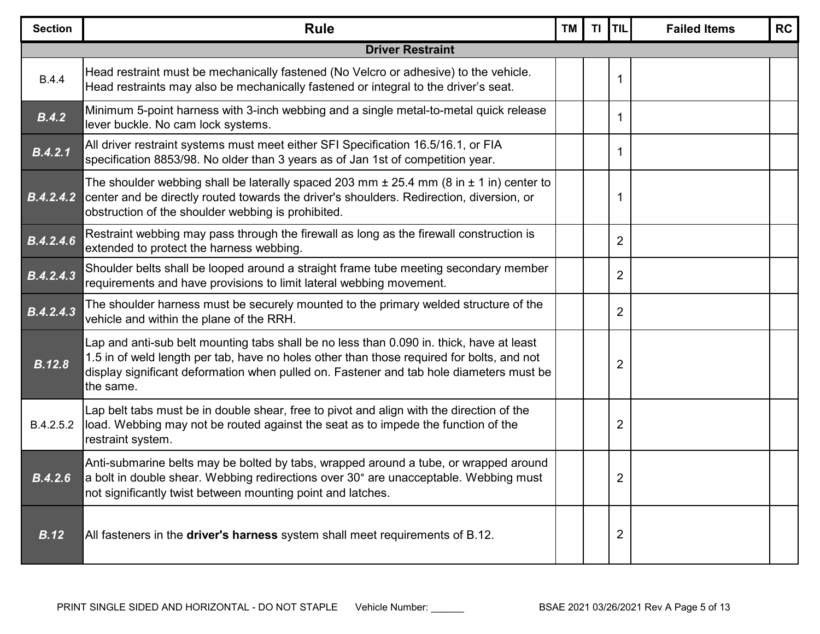| <b>Section</b>         | <b>Rule</b>                                                                                                                                                                                                                                                                                   | <b>TM</b> | <b>TI</b> | TIL            | <b>Failed Items</b> | <b>RC</b> |
|------------------------|-----------------------------------------------------------------------------------------------------------------------------------------------------------------------------------------------------------------------------------------------------------------------------------------------|-----------|-----------|----------------|---------------------|-----------|
|                        | <b>Driver Restraint</b>                                                                                                                                                                                                                                                                       |           |           |                |                     |           |
| <b>B.4.4</b>           | Head restraint must be mechanically fastened (No Velcro or adhesive) to the vehicle.<br>Head restraints may also be mechanically fastened or integral to the driver's seat.                                                                                                                   |           |           | 1              |                     |           |
| B.4.2                  | Minimum 5-point harness with 3-inch webbing and a single metal-to-metal quick release<br>lever buckle. No cam lock systems.                                                                                                                                                                   |           |           | 1              |                     |           |
| B.4.2.1                | All driver restraint systems must meet either SFI Specification 16.5/16.1, or FIA<br>specification 8853/98. No older than 3 years as of Jan 1st of competition year.                                                                                                                          |           |           | 1              |                     |           |
| B.4.2.4.2              | The shoulder webbing shall be laterally spaced 203 mm $\pm$ 25.4 mm (8 in $\pm$ 1 in) center to<br>center and be directly routed towards the driver's shoulders. Redirection, diversion, or<br>obstruction of the shoulder webbing is prohibited.                                             |           |           | 1              |                     |           |
| $\overline{B.4.2.4.6}$ | Restraint webbing may pass through the firewall as long as the firewall construction is<br>extended to protect the harness webbing.                                                                                                                                                           |           |           | $\overline{2}$ |                     |           |
| B.4.2.4.3              | Shoulder belts shall be looped around a straight frame tube meeting secondary member<br>requirements and have provisions to limit lateral webbing movement.                                                                                                                                   |           |           | $\overline{2}$ |                     |           |
| B.4.2.4.3              | The shoulder harness must be securely mounted to the primary welded structure of the<br>vehicle and within the plane of the RRH.                                                                                                                                                              |           |           | $\overline{2}$ |                     |           |
| <b>B.12.8</b>          | Lap and anti-sub belt mounting tabs shall be no less than 0.090 in. thick, have at least<br>1.5 in of weld length per tab, have no holes other than those required for bolts, and not<br>display significant deformation when pulled on. Fastener and tab hole diameters must be<br>the same. |           |           | 2              |                     |           |
| B.4.2.5.2              | Lap belt tabs must be in double shear, free to pivot and align with the direction of the<br>load. Webbing may not be routed against the seat as to impede the function of the<br>restraint system.                                                                                            |           |           | 2              |                     |           |
| B.4.2.6                | Anti-submarine belts may be bolted by tabs, wrapped around a tube, or wrapped around<br>a bolt in double shear. Webbing redirections over 30° are unacceptable. Webbing must<br>not significantly twist between mounting point and latches.                                                   |           |           | 2              |                     |           |
| B.12                   | All fasteners in the driver's harness system shall meet requirements of B.12.                                                                                                                                                                                                                 |           |           | 2              |                     |           |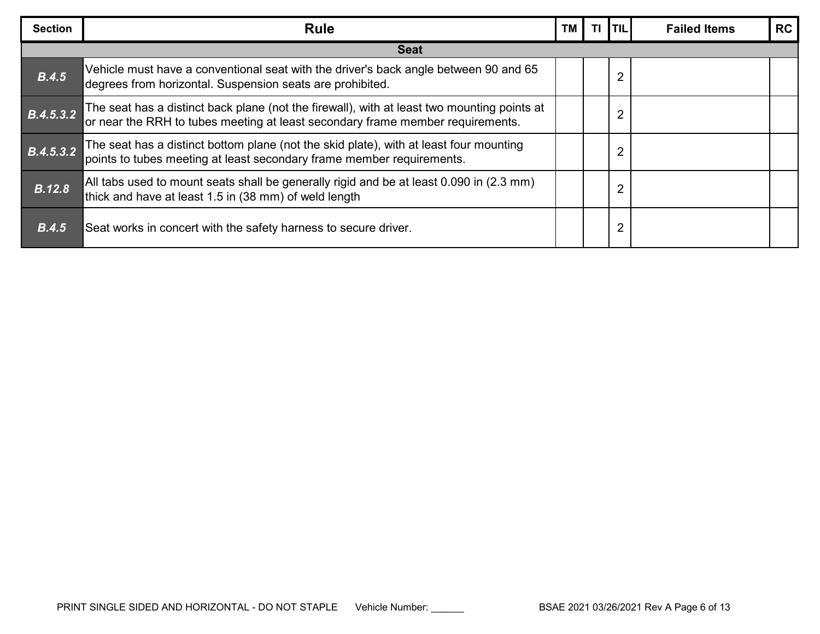| <b>Section</b> | <b>Rule</b>                                                                                                                                                                | <b>TM</b> | ΤI | $1$ TIL $^{\prime}$ | <b>Failed Items</b> | <b>RC</b> |
|----------------|----------------------------------------------------------------------------------------------------------------------------------------------------------------------------|-----------|----|---------------------|---------------------|-----------|
|                | <b>Seat</b>                                                                                                                                                                |           |    |                     |                     |           |
| B.4.5          | Vehicle must have a conventional seat with the driver's back angle between 90 and 65<br>degrees from horizontal. Suspension seats are prohibited.                          |           |    | 2                   |                     |           |
| B.4.5.3.2      | The seat has a distinct back plane (not the firewall), with at least two mounting points at or near the RRH to tubes meeting at least secondary frame member requirements. |           |    | 2                   |                     |           |
| B.4.5.3.2      | The seat has a distinct bottom plane (not the skid plate), with at least four mounting<br>points to tubes meeting at least secondary frame member requirements.            |           |    | $\overline{2}$      |                     |           |
| <b>B.12.8</b>  | All tabs used to mount seats shall be generally rigid and be at least 0.090 in (2.3 mm)<br>thick and have at least 1.5 in (38 mm) of weld length                           |           |    | 2                   |                     |           |
| B.4.5          | Seat works in concert with the safety harness to secure driver.                                                                                                            |           |    |                     |                     |           |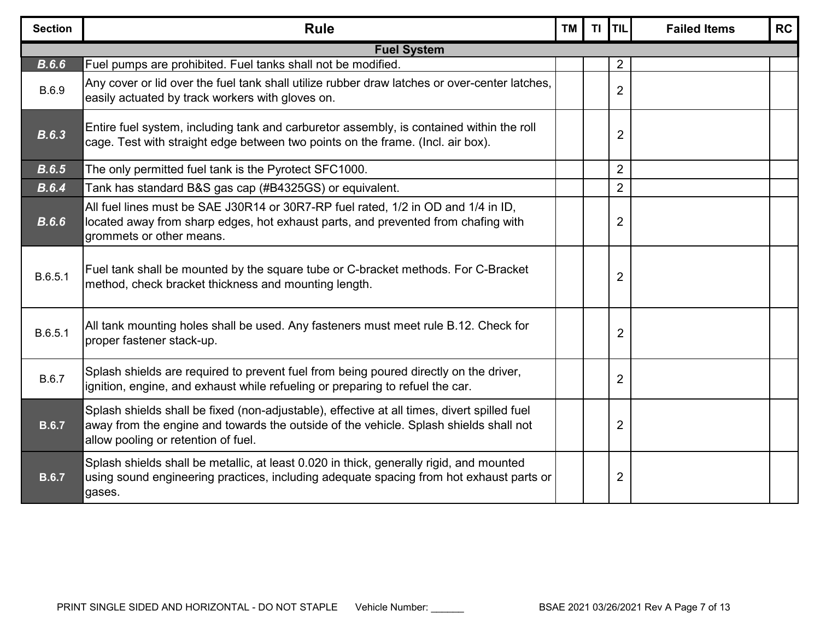| <b>Section</b> | <b>Rule</b>                                                                                                                                                                                                                 | <b>TM</b> | TI | <b>TIL</b>     | <b>Failed Items</b> | <b>RC</b> |
|----------------|-----------------------------------------------------------------------------------------------------------------------------------------------------------------------------------------------------------------------------|-----------|----|----------------|---------------------|-----------|
|                | <b>Fuel System</b>                                                                                                                                                                                                          |           |    |                |                     |           |
| B.6.6          | Fuel pumps are prohibited. Fuel tanks shall not be modified.                                                                                                                                                                |           |    | 2              |                     |           |
| B.6.9          | Any cover or lid over the fuel tank shall utilize rubber draw latches or over-center latches,<br>easily actuated by track workers with gloves on.                                                                           |           |    | $\overline{2}$ |                     |           |
| B.6.3          | Entire fuel system, including tank and carburetor assembly, is contained within the roll<br>cage. Test with straight edge between two points on the frame. (Incl. air box).                                                 |           |    | $\overline{2}$ |                     |           |
| B.6.5          | The only permitted fuel tank is the Pyrotect SFC1000.                                                                                                                                                                       |           |    | $\overline{2}$ |                     |           |
| B.6.4          | Tank has standard B&S gas cap (#B4325GS) or equivalent.                                                                                                                                                                     |           |    | $\overline{2}$ |                     |           |
| B.6.6          | All fuel lines must be SAE J30R14 or 30R7-RP fuel rated, 1/2 in OD and 1/4 in ID,<br>located away from sharp edges, hot exhaust parts, and prevented from chafing with<br>grommets or other means.                          |           |    | $\overline{2}$ |                     |           |
| B.6.5.1        | Fuel tank shall be mounted by the square tube or C-bracket methods. For C-Bracket<br>method, check bracket thickness and mounting length.                                                                                   |           |    | $\overline{2}$ |                     |           |
| B.6.5.1        | All tank mounting holes shall be used. Any fasteners must meet rule B.12. Check for<br>proper fastener stack-up.                                                                                                            |           |    | $\overline{2}$ |                     |           |
| B.6.7          | Splash shields are required to prevent fuel from being poured directly on the driver,<br>ignition, engine, and exhaust while refueling or preparing to refuel the car.                                                      |           |    | $\overline{2}$ |                     |           |
| <b>B.6.7</b>   | Splash shields shall be fixed (non-adjustable), effective at all times, divert spilled fuel<br>away from the engine and towards the outside of the vehicle. Splash shields shall not<br>allow pooling or retention of fuel. |           |    | $\overline{2}$ |                     |           |
| <b>B.6.7</b>   | Splash shields shall be metallic, at least 0.020 in thick, generally rigid, and mounted<br>using sound engineering practices, including adequate spacing from hot exhaust parts or<br>gases.                                |           |    | $\overline{2}$ |                     |           |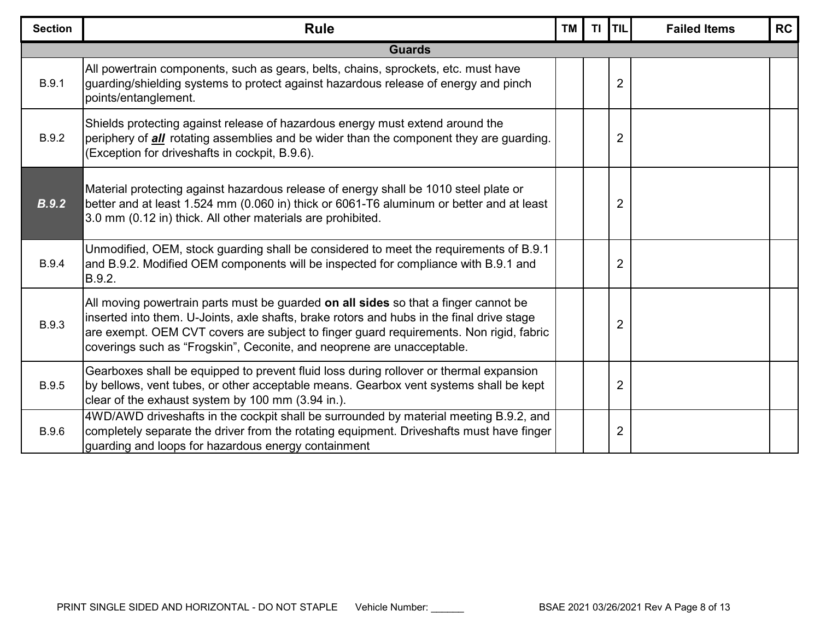| <b>Section</b> | <b>Rule</b>                                                                                                                                                                                                                                                                                                                                          | <b>TM</b> | TI. | <b>TIL</b>     | <b>Failed Items</b> | <b>RC</b> |  |  |  |  |
|----------------|------------------------------------------------------------------------------------------------------------------------------------------------------------------------------------------------------------------------------------------------------------------------------------------------------------------------------------------------------|-----------|-----|----------------|---------------------|-----------|--|--|--|--|
|                | <b>Guards</b>                                                                                                                                                                                                                                                                                                                                        |           |     |                |                     |           |  |  |  |  |
| <b>B.9.1</b>   | All powertrain components, such as gears, belts, chains, sprockets, etc. must have<br>guarding/shielding systems to protect against hazardous release of energy and pinch<br>points/entanglement.                                                                                                                                                    |           |     | $\overline{2}$ |                     |           |  |  |  |  |
| <b>B.9.2</b>   | Shields protecting against release of hazardous energy must extend around the<br>periphery of <i>all</i> rotating assemblies and be wider than the component they are guarding.<br>(Exception for driveshafts in cockpit, B.9.6).                                                                                                                    |           |     | $\overline{2}$ |                     |           |  |  |  |  |
| B.9.2          | Material protecting against hazardous release of energy shall be 1010 steel plate or<br>better and at least 1.524 mm (0.060 in) thick or 6061-T6 aluminum or better and at least<br>3.0 mm (0.12 in) thick. All other materials are prohibited.                                                                                                      |           |     | $\overline{2}$ |                     |           |  |  |  |  |
| <b>B.9.4</b>   | Unmodified, OEM, stock guarding shall be considered to meet the requirements of B.9.1<br>and B.9.2. Modified OEM components will be inspected for compliance with B.9.1 and<br>B.9.2.                                                                                                                                                                |           |     | $\overline{2}$ |                     |           |  |  |  |  |
| <b>B.9.3</b>   | All moving powertrain parts must be guarded on all sides so that a finger cannot be<br>inserted into them. U-Joints, axle shafts, brake rotors and hubs in the final drive stage<br>are exempt. OEM CVT covers are subject to finger guard requirements. Non rigid, fabric<br>coverings such as "Frogskin", Ceconite, and neoprene are unacceptable. |           |     | 2              |                     |           |  |  |  |  |
| <b>B.9.5</b>   | Gearboxes shall be equipped to prevent fluid loss during rollover or thermal expansion<br>by bellows, vent tubes, or other acceptable means. Gearbox vent systems shall be kept<br>clear of the exhaust system by 100 mm (3.94 in.).                                                                                                                 |           |     | $\overline{2}$ |                     |           |  |  |  |  |
| <b>B.9.6</b>   | 4WD/AWD driveshafts in the cockpit shall be surrounded by material meeting B.9.2, and<br>completely separate the driver from the rotating equipment. Driveshafts must have finger<br>guarding and loops for hazardous energy containment                                                                                                             |           |     | $\overline{2}$ |                     |           |  |  |  |  |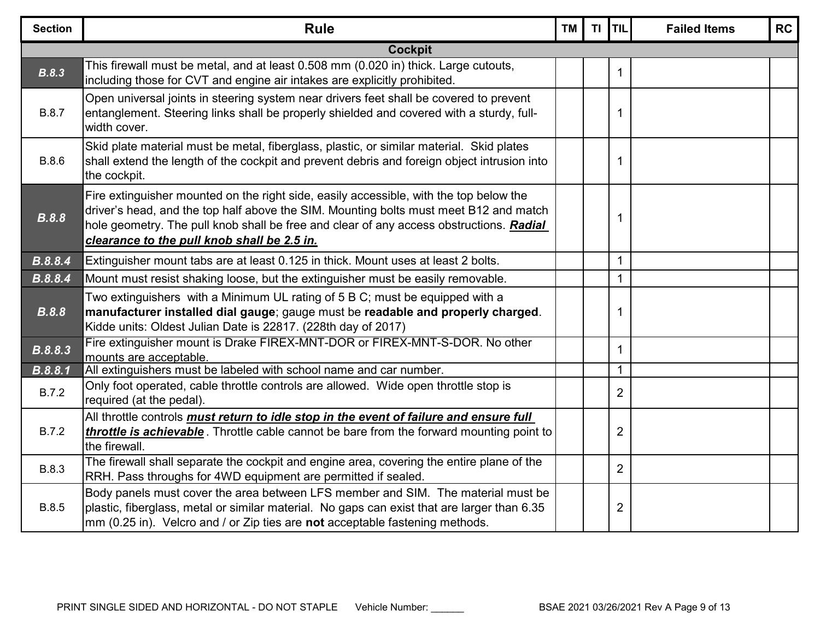| <b>Section</b> | <b>Rule</b>                                                                                                                                                                                                                                                                                                               | <b>TM</b> | TI TIL |                | <b>Failed Items</b> | <b>RC</b> |  |  |  |  |
|----------------|---------------------------------------------------------------------------------------------------------------------------------------------------------------------------------------------------------------------------------------------------------------------------------------------------------------------------|-----------|--------|----------------|---------------------|-----------|--|--|--|--|
|                | <b>Cockpit</b>                                                                                                                                                                                                                                                                                                            |           |        |                |                     |           |  |  |  |  |
| B.8.3          | This firewall must be metal, and at least 0.508 mm (0.020 in) thick. Large cutouts,<br>including those for CVT and engine air intakes are explicitly prohibited.                                                                                                                                                          |           |        | $\mathbf 1$    |                     |           |  |  |  |  |
| <b>B.8.7</b>   | Open universal joints in steering system near drivers feet shall be covered to prevent<br>entanglement. Steering links shall be properly shielded and covered with a sturdy, full-<br>width cover.                                                                                                                        |           |        | 1              |                     |           |  |  |  |  |
| <b>B.8.6</b>   | Skid plate material must be metal, fiberglass, plastic, or similar material. Skid plates<br>shall extend the length of the cockpit and prevent debris and foreign object intrusion into<br>the cockpit.                                                                                                                   |           |        | 1              |                     |           |  |  |  |  |
| <b>B.8.8</b>   | Fire extinguisher mounted on the right side, easily accessible, with the top below the<br>driver's head, and the top half above the SIM. Mounting bolts must meet B12 and match<br>hole geometry. The pull knob shall be free and clear of any access obstructions. Radial<br>clearance to the pull knob shall be 2.5 in. |           |        | 1              |                     |           |  |  |  |  |
| B.8.8.4        | Extinguisher mount tabs are at least 0.125 in thick. Mount uses at least 2 bolts.                                                                                                                                                                                                                                         |           |        | 1              |                     |           |  |  |  |  |
| B.8.8.4        | Mount must resist shaking loose, but the extinguisher must be easily removable.                                                                                                                                                                                                                                           |           |        | $\mathbf 1$    |                     |           |  |  |  |  |
| <b>B.8.8</b>   | Two extinguishers with a Minimum UL rating of 5 B C; must be equipped with a<br>manufacturer installed dial gauge; gauge must be readable and properly charged.<br>Kidde units: Oldest Julian Date is 22817. (228th day of 2017)                                                                                          |           |        | 1              |                     |           |  |  |  |  |
| B.8.8.3        | Fire extinguisher mount is Drake FIREX-MNT-DOR or FIREX-MNT-S-DOR. No other<br>mounts are acceptable.                                                                                                                                                                                                                     |           |        | 1              |                     |           |  |  |  |  |
| B.8.8.1        | All extinguishers must be labeled with school name and car number.                                                                                                                                                                                                                                                        |           |        | $\mathbf{1}$   |                     |           |  |  |  |  |
| <b>B.7.2</b>   | Only foot operated, cable throttle controls are allowed. Wide open throttle stop is<br>required (at the pedal).                                                                                                                                                                                                           |           |        | $\overline{2}$ |                     |           |  |  |  |  |
| B.7.2          | All throttle controls must return to idle stop in the event of failure and ensure full<br>throttle is achievable. Throttle cable cannot be bare from the forward mounting point to<br>the firewall.                                                                                                                       |           |        | $\overline{2}$ |                     |           |  |  |  |  |
| <b>B.8.3</b>   | The firewall shall separate the cockpit and engine area, covering the entire plane of the<br>RRH. Pass throughs for 4WD equipment are permitted if sealed.                                                                                                                                                                |           |        | $\overline{2}$ |                     |           |  |  |  |  |
| <b>B.8.5</b>   | Body panels must cover the area between LFS member and SIM. The material must be<br>plastic, fiberglass, metal or similar material. No gaps can exist that are larger than 6.35<br>$\vert$ mm (0.25 in). Velcro and / or Zip ties are not acceptable fastening methods.                                                   |           |        | $\overline{2}$ |                     |           |  |  |  |  |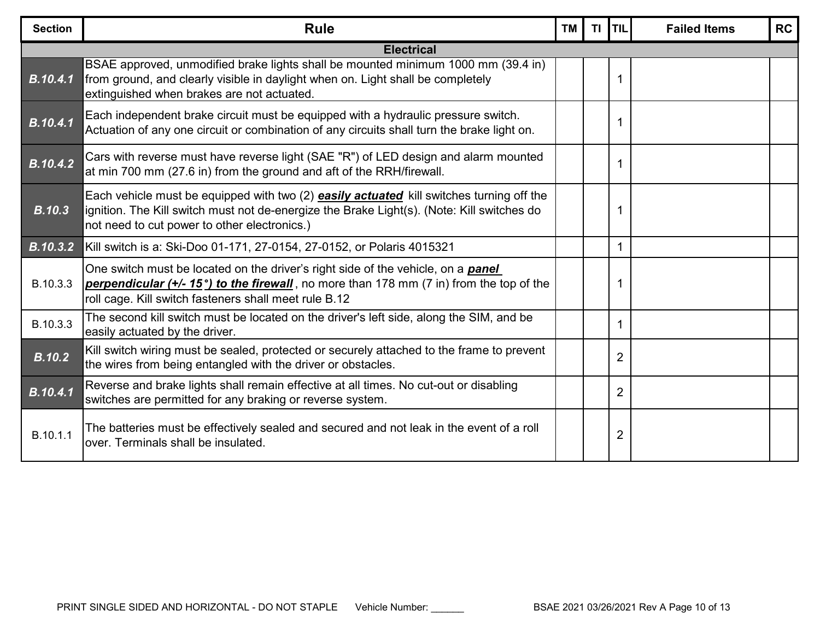| <b>Section</b>  | <b>Rule</b>                                                                                                                                                                                                                                   | <b>TM</b> | $T\mathbf{I}$ | <b>ITIL</b>    | <b>Failed Items</b> | <b>RC</b> |
|-----------------|-----------------------------------------------------------------------------------------------------------------------------------------------------------------------------------------------------------------------------------------------|-----------|---------------|----------------|---------------------|-----------|
|                 | <b>Electrical</b>                                                                                                                                                                                                                             |           |               |                |                     |           |
| <b>B.10.4.1</b> | BSAE approved, unmodified brake lights shall be mounted minimum 1000 mm (39.4 in)<br>from ground, and clearly visible in daylight when on. Light shall be completely<br>extinguished when brakes are not actuated.                            |           |               | 1              |                     |           |
| B.10.4.1        | Each independent brake circuit must be equipped with a hydraulic pressure switch.<br>Actuation of any one circuit or combination of any circuits shall turn the brake light on.                                                               |           |               | 1              |                     |           |
| <b>B.10.4.2</b> | Cars with reverse must have reverse light (SAE "R") of LED design and alarm mounted<br>at min 700 mm (27.6 in) from the ground and aft of the RRH/firewall.                                                                                   |           |               | 1              |                     |           |
| <b>B.10.3</b>   | Each vehicle must be equipped with two (2) <b>easily actuated</b> kill switches turning off the<br>ignition. The Kill switch must not de-energize the Brake Light(s). (Note: Kill switches do<br>not need to cut power to other electronics.) |           |               | 1              |                     |           |
| <b>B.10.3.2</b> | Kill switch is a: Ski-Doo 01-171, 27-0154, 27-0152, or Polaris 4015321                                                                                                                                                                        |           |               | 1              |                     |           |
| B.10.3.3        | One switch must be located on the driver's right side of the vehicle, on a <b>panel</b><br>perpendicular (+/- 15°) to the firewall, no more than 178 mm (7 in) from the top of the<br>roll cage. Kill switch fasteners shall meet rule B.12   |           |               | 1              |                     |           |
| B.10.3.3        | The second kill switch must be located on the driver's left side, along the SIM, and be<br>easily actuated by the driver.                                                                                                                     |           |               | 1              |                     |           |
| <b>B.10.2</b>   | Kill switch wiring must be sealed, protected or securely attached to the frame to prevent<br>the wires from being entangled with the driver or obstacles.                                                                                     |           |               | $\overline{2}$ |                     |           |
| B.10.4.1        | Reverse and brake lights shall remain effective at all times. No cut-out or disabling<br>switches are permitted for any braking or reverse system.                                                                                            |           |               | $\overline{2}$ |                     |           |
| B.10.1.1        | The batteries must be effectively sealed and secured and not leak in the event of a roll<br>over. Terminals shall be insulated.                                                                                                               |           |               | 2              |                     |           |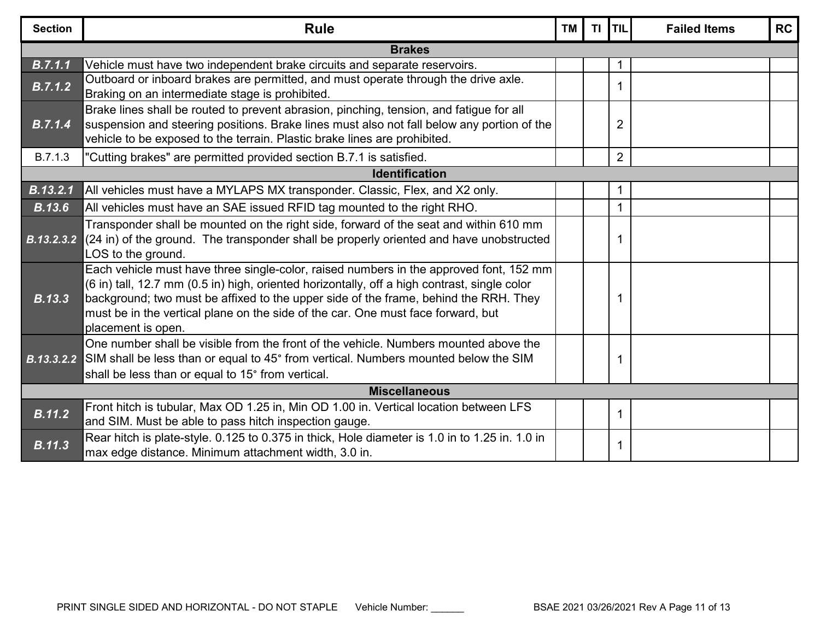| <b>Section</b>        | <b>Rule</b>                                                                                                                                                                                                                                                                                                                                                                              | <b>TM</b> | TI <b>TIL</b>  |  | <b>Failed Items</b> | <b>RC</b> |  |  |  |  |
|-----------------------|------------------------------------------------------------------------------------------------------------------------------------------------------------------------------------------------------------------------------------------------------------------------------------------------------------------------------------------------------------------------------------------|-----------|----------------|--|---------------------|-----------|--|--|--|--|
| <b>Brakes</b>         |                                                                                                                                                                                                                                                                                                                                                                                          |           |                |  |                     |           |  |  |  |  |
| B.7.1.1               | Vehicle must have two independent brake circuits and separate reservoirs.                                                                                                                                                                                                                                                                                                                |           |                |  |                     |           |  |  |  |  |
| B.7.1.2               | Outboard or inboard brakes are permitted, and must operate through the drive axle.<br>Braking on an intermediate stage is prohibited.                                                                                                                                                                                                                                                    |           | 1              |  |                     |           |  |  |  |  |
| B.7.1.4               | Brake lines shall be routed to prevent abrasion, pinching, tension, and fatigue for all<br>suspension and steering positions. Brake lines must also not fall below any portion of the<br>vehicle to be exposed to the terrain. Plastic brake lines are prohibited.                                                                                                                       |           | $\overline{2}$ |  |                     |           |  |  |  |  |
| B.7.1.3               | "Cutting brakes" are permitted provided section B.7.1 is satisfied.                                                                                                                                                                                                                                                                                                                      |           | $\overline{2}$ |  |                     |           |  |  |  |  |
| <b>Identification</b> |                                                                                                                                                                                                                                                                                                                                                                                          |           |                |  |                     |           |  |  |  |  |
| B.13.2.1              | All vehicles must have a MYLAPS MX transponder. Classic, Flex, and X2 only.                                                                                                                                                                                                                                                                                                              |           |                |  |                     |           |  |  |  |  |
| <b>B.13.6</b>         | All vehicles must have an SAE issued RFID tag mounted to the right RHO.                                                                                                                                                                                                                                                                                                                  |           |                |  |                     |           |  |  |  |  |
|                       | Transponder shall be mounted on the right side, forward of the seat and within 610 mm<br><b>B.13.2.3.2</b> (24 in) of the ground. The transponder shall be properly oriented and have unobstructed<br>LOS to the ground.                                                                                                                                                                 |           | 1              |  |                     |           |  |  |  |  |
| <b>B.13.3</b>         | Each vehicle must have three single-color, raised numbers in the approved font, 152 mm<br>(6 in) tall, 12.7 mm (0.5 in) high, oriented horizontally, off a high contrast, single color<br>background; two must be affixed to the upper side of the frame, behind the RRH. They<br>must be in the vertical plane on the side of the car. One must face forward, but<br>placement is open. |           | 1              |  |                     |           |  |  |  |  |
|                       | One number shall be visible from the front of the vehicle. Numbers mounted above the<br><b>B.13.3.2.2</b> SIM shall be less than or equal to 45° from vertical. Numbers mounted below the SIM<br>shall be less than or equal to 15° from vertical.                                                                                                                                       |           | 1              |  |                     |           |  |  |  |  |
|                       | <b>Miscellaneous</b>                                                                                                                                                                                                                                                                                                                                                                     |           |                |  |                     |           |  |  |  |  |
| <b>B.11.2</b>         | Front hitch is tubular, Max OD 1.25 in, Min OD 1.00 in. Vertical location between LFS<br>and SIM. Must be able to pass hitch inspection gauge.                                                                                                                                                                                                                                           |           | 1              |  |                     |           |  |  |  |  |
| <b>B.11.3</b>         | Rear hitch is plate-style. 0.125 to 0.375 in thick, Hole diameter is 1.0 in to 1.25 in. 1.0 in<br>max edge distance. Minimum attachment width, 3.0 in.                                                                                                                                                                                                                                   |           |                |  |                     |           |  |  |  |  |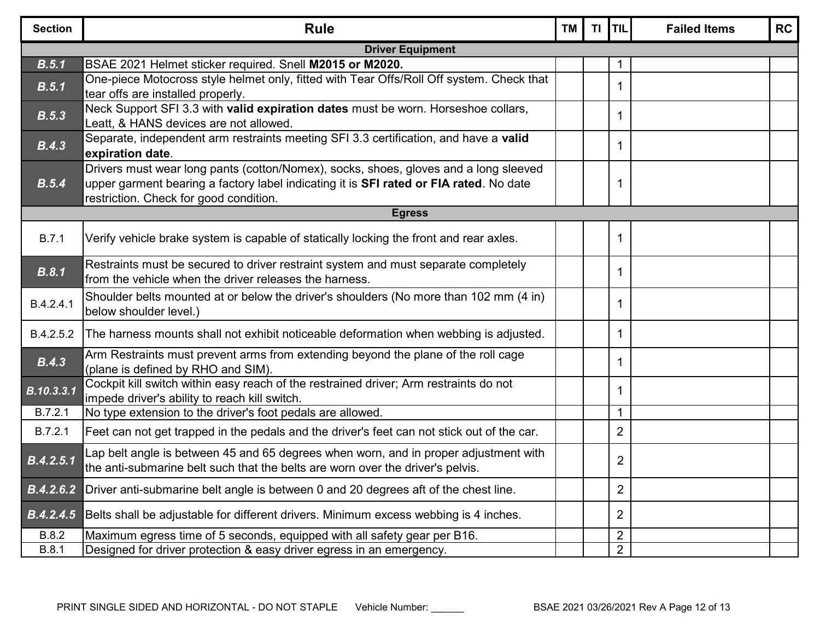| <b>Section</b>          | <b>Rule</b>                                                                                                                                                                                                              | <b>TM</b> | <b>TI</b> | <b>TIL</b>     | <b>Failed Items</b> | <b>RC</b> |  |  |  |
|-------------------------|--------------------------------------------------------------------------------------------------------------------------------------------------------------------------------------------------------------------------|-----------|-----------|----------------|---------------------|-----------|--|--|--|
| <b>Driver Equipment</b> |                                                                                                                                                                                                                          |           |           |                |                     |           |  |  |  |
| B.5.1                   | BSAE 2021 Helmet sticker required. Snell M2015 or M2020.                                                                                                                                                                 |           |           |                |                     |           |  |  |  |
| B.5.1                   | One-piece Motocross style helmet only, fitted with Tear Offs/Roll Off system. Check that<br>tear offs are installed properly.                                                                                            |           |           | 1              |                     |           |  |  |  |
| B.5.3                   | Neck Support SFI 3.3 with valid expiration dates must be worn. Horseshoe collars,<br>Leatt, & HANS devices are not allowed.                                                                                              |           |           | 1              |                     |           |  |  |  |
| B.4.3                   | Separate, independent arm restraints meeting SFI 3.3 certification, and have a valid<br>expiration date.                                                                                                                 |           |           | 1              |                     |           |  |  |  |
| B.5.4                   | Drivers must wear long pants (cotton/Nomex), socks, shoes, gloves and a long sleeved<br>upper garment bearing a factory label indicating it is SFI rated or FIA rated. No date<br>restriction. Check for good condition. |           |           | 1              |                     |           |  |  |  |
| <b>Egress</b>           |                                                                                                                                                                                                                          |           |           |                |                     |           |  |  |  |
| <b>B.7.1</b>            | Verify vehicle brake system is capable of statically locking the front and rear axles.                                                                                                                                   |           |           | $\mathbf 1$    |                     |           |  |  |  |
| B.8.1                   | Restraints must be secured to driver restraint system and must separate completely<br>from the vehicle when the driver releases the harness.                                                                             |           |           | 1              |                     |           |  |  |  |
| B.4.2.4.1               | Shoulder belts mounted at or below the driver's shoulders (No more than 102 mm (4 in)<br>below shoulder level.)                                                                                                          |           |           | 1              |                     |           |  |  |  |
| B.4.2.5.2               | The harness mounts shall not exhibit noticeable deformation when webbing is adjusted.                                                                                                                                    |           |           | 1              |                     |           |  |  |  |
| B.4.3                   | Arm Restraints must prevent arms from extending beyond the plane of the roll cage<br>(plane is defined by RHO and SIM).                                                                                                  |           |           | 1              |                     |           |  |  |  |
| B.10.3.3.1              | Cockpit kill switch within easy reach of the restrained driver; Arm restraints do not<br>impede driver's ability to reach kill switch.                                                                                   |           |           | 1              |                     |           |  |  |  |
| B.7.2.1                 | No type extension to the driver's foot pedals are allowed.                                                                                                                                                               |           |           | $\mathbf{1}$   |                     |           |  |  |  |
| B.7.2.1                 | Feet can not get trapped in the pedals and the driver's feet can not stick out of the car.                                                                                                                               |           |           | $\overline{2}$ |                     |           |  |  |  |
| B.4.2.5.1               | Lap belt angle is between 45 and 65 degrees when worn, and in proper adjustment with<br>the anti-submarine belt such that the belts are worn over the driver's pelvis.                                                   |           |           | $\overline{2}$ |                     |           |  |  |  |
| B.4.2.6.2               | Driver anti-submarine belt angle is between 0 and 20 degrees aft of the chest line.                                                                                                                                      |           |           | $\overline{2}$ |                     |           |  |  |  |
| B.4.2.4.5               | Belts shall be adjustable for different drivers. Minimum excess webbing is 4 inches.                                                                                                                                     |           |           | $\overline{2}$ |                     |           |  |  |  |
| <b>B.8.2</b>            | Maximum egress time of 5 seconds, equipped with all safety gear per B16.                                                                                                                                                 |           |           | $\overline{2}$ |                     |           |  |  |  |
| <b>B.8.1</b>            | Designed for driver protection & easy driver egress in an emergency.                                                                                                                                                     |           |           | $\overline{2}$ |                     |           |  |  |  |